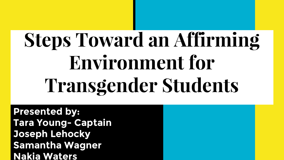# **Steps Toward an Affirming Environment for Transgender Students**

**Presented by: Tara Young- Captain Joseph Lehocky Samantha Wagner Nakia Waters**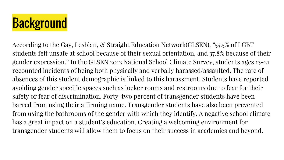# **Background**

According to the Gay, Lesbian, & Straight Education Network(GLSEN), "55.5% of LGBT students felt unsafe at school because of their sexual orientation, and 37.8% because of their gender expression." In the GLSEN 2013 National School Climate Survey, students ages 13-21 recounted incidents of being both physically and verbally harassed/assaulted. The rate of absences of this student demographic is linked to this harassment. Students have reported avoiding gender specific spaces such as locker rooms and restrooms due to fear for their safety or fear of discrimination. Forty-two percent of transgender students have been barred from using their affirming name. Transgender students have also been prevented from using the bathrooms of the gender with which they identify. A negative school climate has a great impact on a student's education. Creating a welcoming environment for transgender students will allow them to focus on their success in academics and beyond.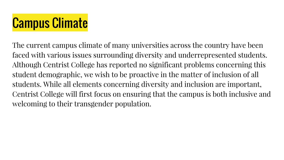# Campus Climate

The current campus climate of many universities across the country have been faced with various issues surrounding diversity and underrepresented students. Although Centrist College has reported no significant problems concerning this student demographic, we wish to be proactive in the matter of inclusion of all students. While all elements concerning diversity and inclusion are important, Centrist College will first focus on ensuring that the campus is both inclusive and welcoming to their transgender population.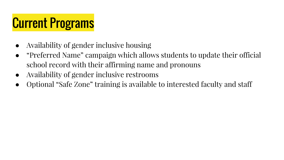## Current Programs

- Availability of gender inclusive housing
- "Preferred Name" campaign which allows students to update their official school record with their affirming name and pronouns
- Availability of gender inclusive restrooms
- Optional "Safe Zone" training is available to interested faculty and staff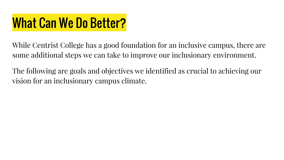## What Can We Do Better?

While Centrist College has a good foundation for an inclusive campus, there are some additional steps we can take to improve our inclusionary environment.

The following are goals and objectives we identified as crucial to achieving our vision for an inclusionary campus climate.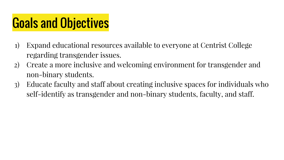## Goals and Objectives

- 1) Expand educational resources available to everyone at Centrist College regarding transgender issues.
- 2) Create a more inclusive and welcoming environment for transgender and non-binary students.
- 3) Educate faculty and staff about creating inclusive spaces for individuals who self-identify as transgender and non-binary students, faculty, and staff.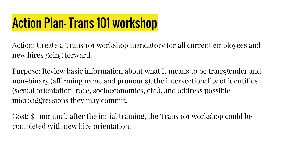## Action Plan- Trans 101 workshop

Action: Create a Trans 101 workshop mandatory for all current employees and new hires going forward.

Purpose: Review basic information about what it means to be transgender and non-binary (affirming name and pronouns), the intersectionality of identities (sexual orientation, race, socioeconomics, etc.), and address possible microaggressions they may commit.

Cost: \$- minimal, after the initial training, the Trans 101 workshop could be completed with new hire orientation.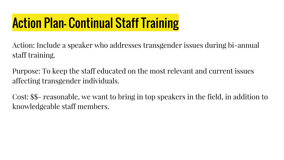# Action Plan- Continual Staff Training

Action: Include a speaker who addresses transgender issues during bi-annual staff training.

Purpose: To keep the staff educated on the most relevant and current issues affecting transgender individuals.

Cost: \$\$- reasonable, we want to bring in top speakers in the field, in addition to knowledgeable staff members.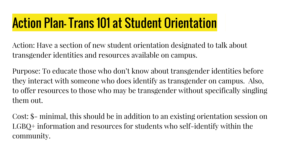#### Action Plan- Trans 101 at Student Orientation

Action: Have a section of new student orientation designated to talk about transgender identities and resources available on campus.

Purpose: To educate those who don't know about transgender identities before they interact with someone who does identify as transgender on campus. Also, to offer resources to those who may be transgender without specifically singling them out.

Cost: \$- minimal, this should be in addition to an existing orientation session on LGBQ+ information and resources for students who self-identify within the community.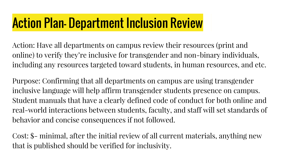#### Action Plan- Department Inclusion Review

Action: Have all departments on campus review their resources (print and online) to verify they're inclusive for transgender and non-binary individuals, including any resources targeted toward students, in human resources, and etc.

Purpose: Confirming that all departments on campus are using transgender inclusive language will help affirm transgender students presence on campus. Student manuals that have a clearly defined code of conduct for both online and real-world interactions between students, faculty, and staff will set standards of behavior and concise consequences if not followed.

Cost: \$- minimal, after the initial review of all current materials, anything new that is published should be verified for inclusivity.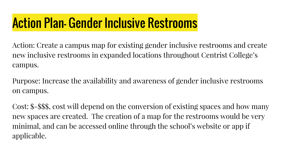#### Action Plan- Gender Inclusive Restrooms

Action: Create a campus map for existing gender inclusive restrooms and create new inclusive restrooms in expanded locations throughout Centrist College's campus.

Purpose: Increase the availability and awareness of gender inclusive restrooms on campus.

Cost: \$-\$\$\$, cost will depend on the conversion of existing spaces and how many new spaces are created. The creation of a map for the restrooms would be very minimal, and can be accessed online through the school's website or app if applicable.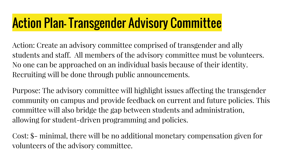#### Action Plan- Transgender Advisory Committee

Action: Create an advisory committee comprised of transgender and ally students and staff. All members of the advisory committee must be volunteers. No one can be approached on an individual basis because of their identity. Recruiting will be done through public announcements.

Purpose: The advisory committee will highlight issues affecting the transgender community on campus and provide feedback on current and future policies. This committee will also bridge the gap between students and administration, allowing for student-driven programming and policies.

Cost: \$- minimal, there will be no additional monetary compensation given for volunteers of the advisory committee.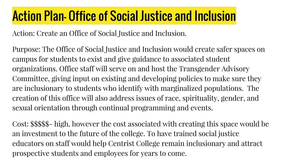#### Action Plan- Office of Social Justice and Inclusion

Action: Create an Office of Social Justice and Inclusion.

Purpose: The Office of Social Justice and Inclusion would create safer spaces on campus for students to exist and give guidance to associated student organizations. Office staff will serve on and host the Transgender Advisory Committee, giving input on existing and developing policies to make sure they are inclusionary to students who identify with marginalized populations. The creation of this office will also address issues of race, spirituality, gender, and sexual orientation through continual programming and events.

Cost: \$\$\$\$\$- high, however the cost associated with creating this space would be an investment to the future of the college. To have trained social justice educators on staff would help Centrist College remain inclusionary and attract prospective students and employees for years to come.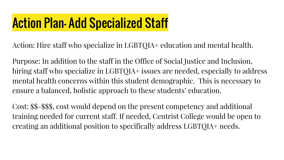#### Action Plan- Add Specialized Staff

Action: Hire staff who specialize in LGBTQIA+ education and mental health.

Purpose: In addition to the staff in the Office of Social Justice and Inclusion, hiring staff who specialize in LGBTQIA+ issues are needed, especially to address mental health concerns within this student demographic. This is necessary to ensure a balanced, holistic approach to these students' education.

Cost: \$\$-\$\$\$, cost would depend on the present competency and additional training needed for current staff. If needed, Centrist College would be open to creating an additional position to specifically address LGBTQIA+ needs.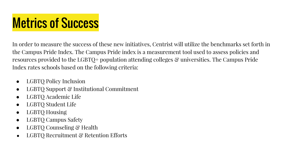## **Metrics of Success**

In order to measure the success of these new initiatives, Centrist will utilize the benchmarks set forth in the Campus Pride Index. The Campus Pride index is a measurement tool used to assess policies and resources provided to the LGBTQ+ population attending colleges & universities. The Campus Pride Index rates schools based on the following criteria:

- LGBTQ Policy Inclusion
- LGBTO Support & Institutional Commitment
- LGBTQ Academic Life
- LGBTQ Student Life
- LGBTQ Housing
- LGBTQ Campus Safety
- LGBTO Counseling & Health
- LGBTO Recruitment & Retention Efforts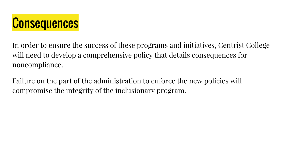

In order to ensure the success of these programs and initiatives, Centrist College will need to develop a comprehensive policy that details consequences for noncompliance.

Failure on the part of the administration to enforce the new policies will compromise the integrity of the inclusionary program.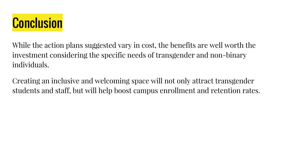

While the action plans suggested vary in cost, the benefits are well worth the investment considering the specific needs of transgender and non-binary individuals.

Creating an inclusive and welcoming space will not only attract transgender students and staff, but will help boost campus enrollment and retention rates.